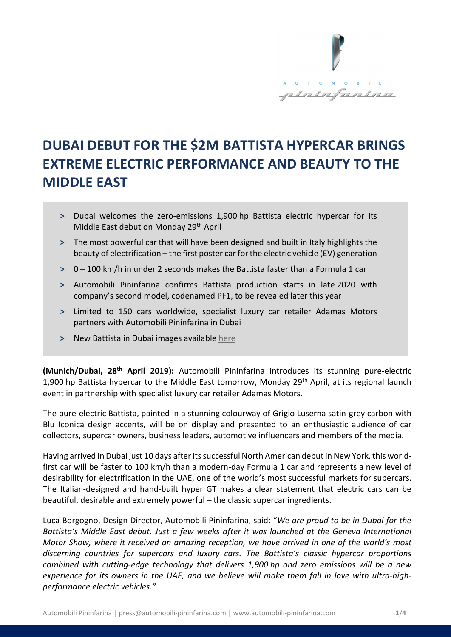

# **DUBAI DEBUT FOR THE \$2M BATTISTA HYPERCAR BRINGS EXTREME ELECTRIC PERFORMANCE AND BEAUTY TO THE MIDDLE EAST**

- **˃** Dubai welcomes the zero-emissions 1,900 hp Battista electric hypercar for its Middle East debut on Monday 29<sup>th</sup> April
- **˃** The most powerful car that will have been designed and built in Italy highlights the beauty of electrification – the first poster car for the electric vehicle (EV) generation
- **˃** 0 100 km/h in under 2 seconds makes the Battista faster than a Formula 1 car
- **˃** Automobili Pininfarina confirms Battista production starts in late 2020 with company's second model, codenamed PF1, to be revealed later this year
- **˃** Limited to 150 cars worldwide, specialist luxury car retailer Adamas Motors partners with Automobili Pininfarina in Dubai
- **˃** New Battista in Dubai images available [here](https://www.automobili-pininfarina.com/media-zone-assets/media/april2019/dubai-launch/dubai-launch.zip)

**(Munich/Dubai, 28th April 2019):** Automobili Pininfarina introduces its stunning pure-electric 1,900 hp Battista hypercar to the Middle East tomorrow, Monday 29<sup>th</sup> April, at its regional launch event in partnership with specialist luxury car retailer Adamas Motors.

The pure-electric Battista, painted in a stunning colourway of Grigio Luserna satin-grey carbon with Blu Iconica design accents, will be on display and presented to an enthusiastic audience of car collectors, supercar owners, business leaders, automotive influencers and members of the media.

Having arrived in Dubai just 10 days after itssuccessful North American debut in New York, this worldfirst car will be faster to 100 km/h than a modern-day Formula 1 car and represents a new level of desirability for electrification in the UAE, one of the world's most successful markets for supercars. The Italian-designed and hand-built hyper GT makes a clear statement that electric cars can be beautiful, desirable and extremely powerful – the classic supercar ingredients.

Luca Borgogno, Design Director, Automobili Pininfarina, said: "*We are proud to be in Dubai for the Battista's Middle East debut. Just a few weeks after it was launched at the Geneva International Motor Show, where it received an amazing reception, we have arrived in one of the world's most discerning countries for supercars and luxury cars. The Battista's classic hypercar proportions combined with cutting-edge technology that delivers 1,900 hp and zero emissions will be a new experience for its owners in the UAE, and we believe will make them fall in love with ultra-highperformance electric vehicles."*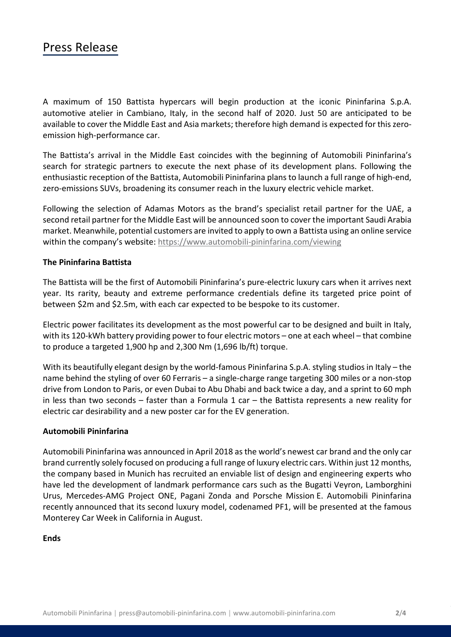### Press Release

A maximum of 150 Battista hypercars will begin production at the iconic Pininfarina S.p.A. automotive atelier in Cambiano, Italy, in the second half of 2020. Just 50 are anticipated to be available to cover the Middle East and Asia markets; therefore high demand is expected for this zeroemission high-performance car.

The Battista's arrival in the Middle East coincides with the beginning of Automobili Pininfarina's search for strategic partners to execute the next phase of its development plans. Following the enthusiastic reception of the Battista, Automobili Pininfarina plans to launch a full range of high-end, zero-emissions SUVs, broadening its consumer reach in the luxury electric vehicle market.

Following the selection of Adamas Motors as the brand's specialist retail partner for the UAE, a second retail partner for the Middle East will be announced soon to cover the important Saudi Arabia market. Meanwhile, potential customers are invited to apply to own a Battista using an online service within the company's website:<https://www.automobili-pininfarina.com/viewing>

#### **The Pininfarina Battista**

The Battista will be the first of Automobili Pininfarina's pure-electric luxury cars when it arrives next year. Its rarity, beauty and extreme performance credentials define its targeted price point of between \$2m and \$2.5m, with each car expected to be bespoke to its customer.

Electric power facilitates its development as the most powerful car to be designed and built in Italy, with its 120-kWh battery providing power to four electric motors – one at each wheel – that combine to produce a targeted 1,900 hp and 2,300 Nm (1,696 lb/ft) torque.

With its beautifully elegant design by the world-famous Pininfarina S.p.A. styling studios in Italy – the name behind the styling of over 60 Ferraris – a single-charge range targeting 300 miles or a non-stop drive from London to Paris, or even Dubai to Abu Dhabi and back twice a day, and a sprint to 60 mph in less than two seconds  $-$  faster than a Formula 1 car  $-$  the Battista represents a new reality for electric car desirability and a new poster car for the EV generation.

#### **Automobili Pininfarina**

Automobili Pininfarina was announced in April 2018 as the world's newest car brand and the only car brand currently solely focused on producing a full range of luxury electric cars. Within just 12 months, the company based in Munich has recruited an enviable list of design and engineering experts who have led the development of landmark performance cars such as the Bugatti Veyron, Lamborghini Urus, Mercedes-AMG Project ONE, Pagani Zonda and Porsche Mission E. Automobili Pininfarina recently announced that its second luxury model, codenamed PF1, will be presented at the famous Monterey Car Week in California in August.

#### **Ends**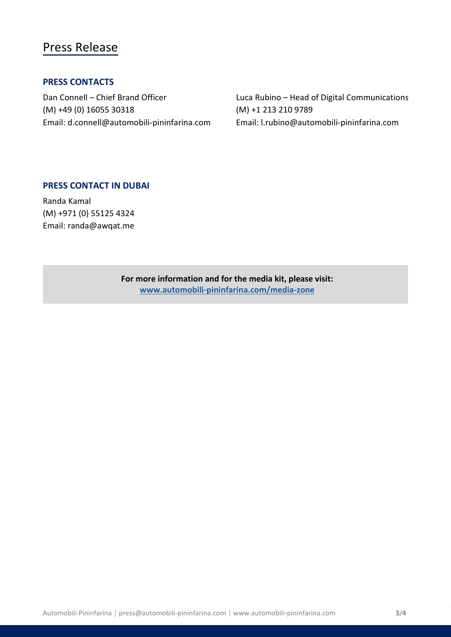### Press Release

### **PRESS CONTACTS**

(M) +49 (0) 16055 30318 (M) +1 213 210 9789 Email: d.connell@automobili-pininfarina.com Email: [l.rubino@automobili-pininfarina.com](mailto:l.rubino@automobili-pininfarina.com)

Dan Connell – Chief Brand Officer Luca Rubino – Head of Digital Communications

### **PRESS CONTACT IN DUBAI**

Randa Kamal (M) +971 (0) 55125 4324 Email: randa@awqat.me

> **For more information and for the media kit, please visit: [www.automobili-pininfarina.com/media-zone](http://www.automobili-pininfarina.com/media-zone)**